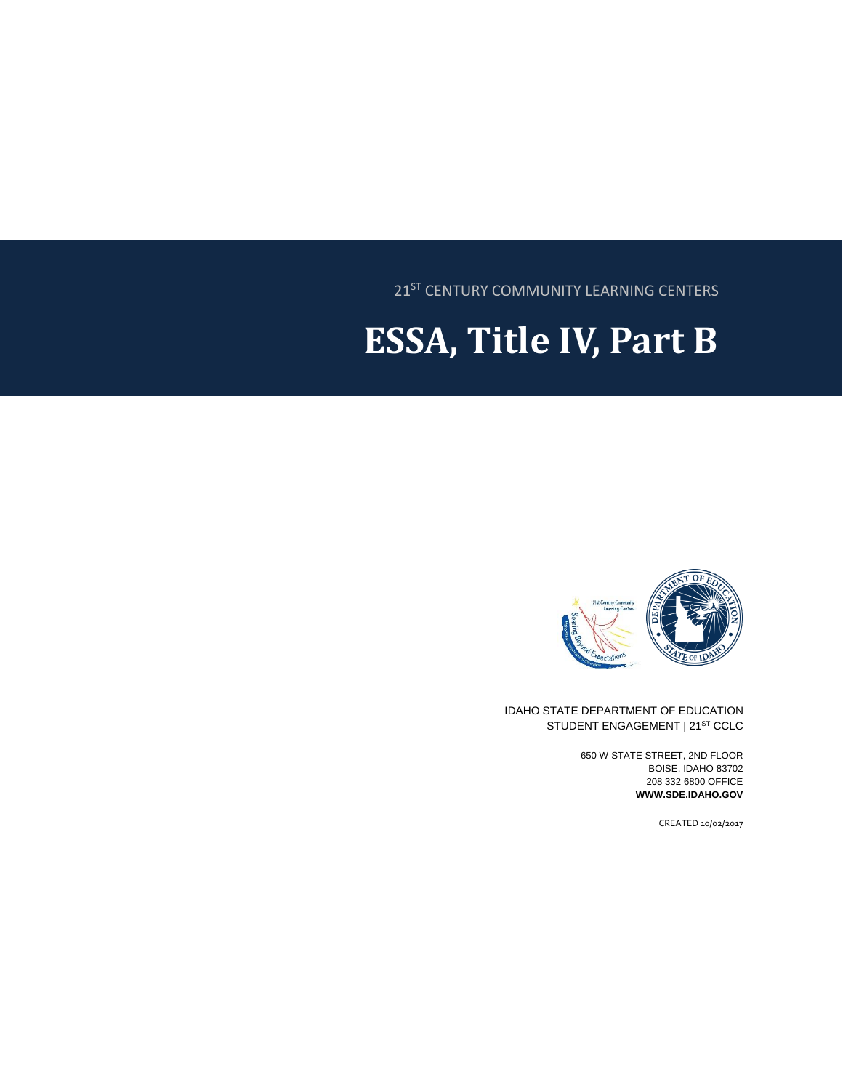21<sup>ST</sup> CENTURY COMMUNITY LEARNING CENTERS

# **ESSA, Title IV, Part B**



IDAHO STATE DEPARTMENT OF EDUCATION STUDENT ENGAGEMENT | 21<sup>ST</sup> CCLC

> 650 W STATE STREET, 2ND FLOOR BOISE, IDAHO 83702 208 332 6800 OFFICE **WWW.SDE.IDAHO.GOV**

> > CREATED 10/02/2017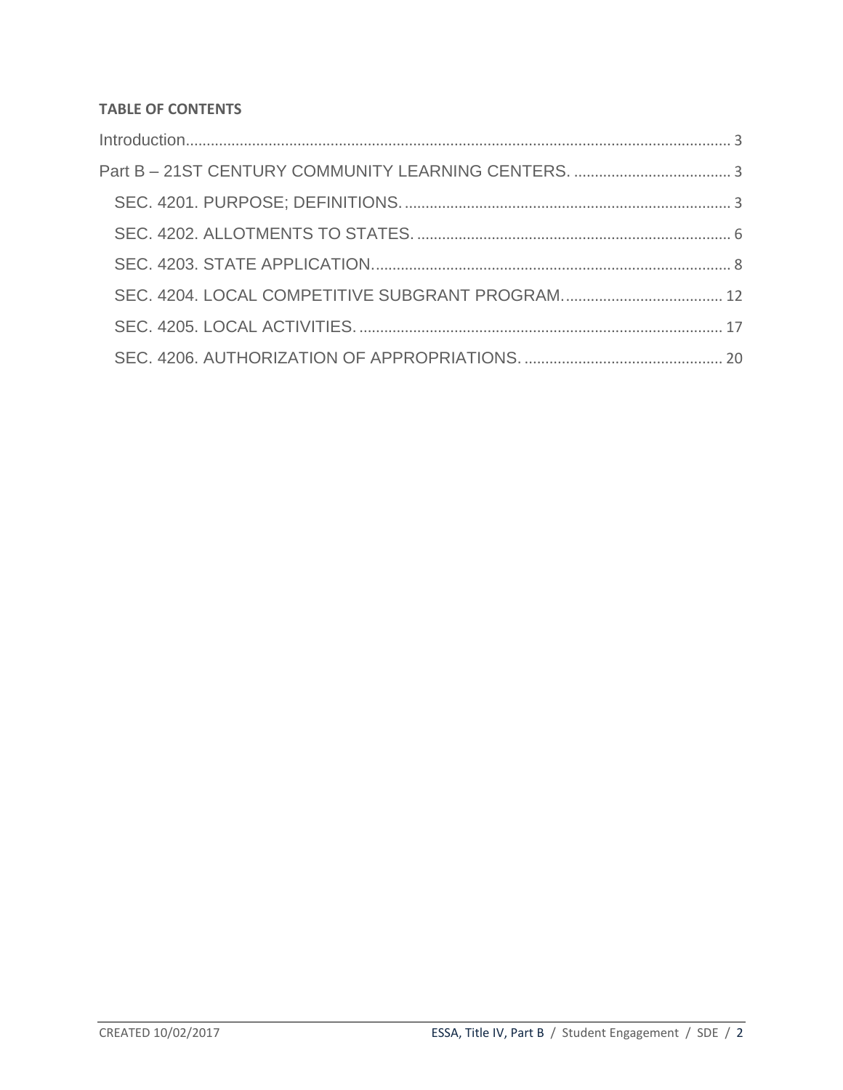#### **TABLE OF CONTENTS**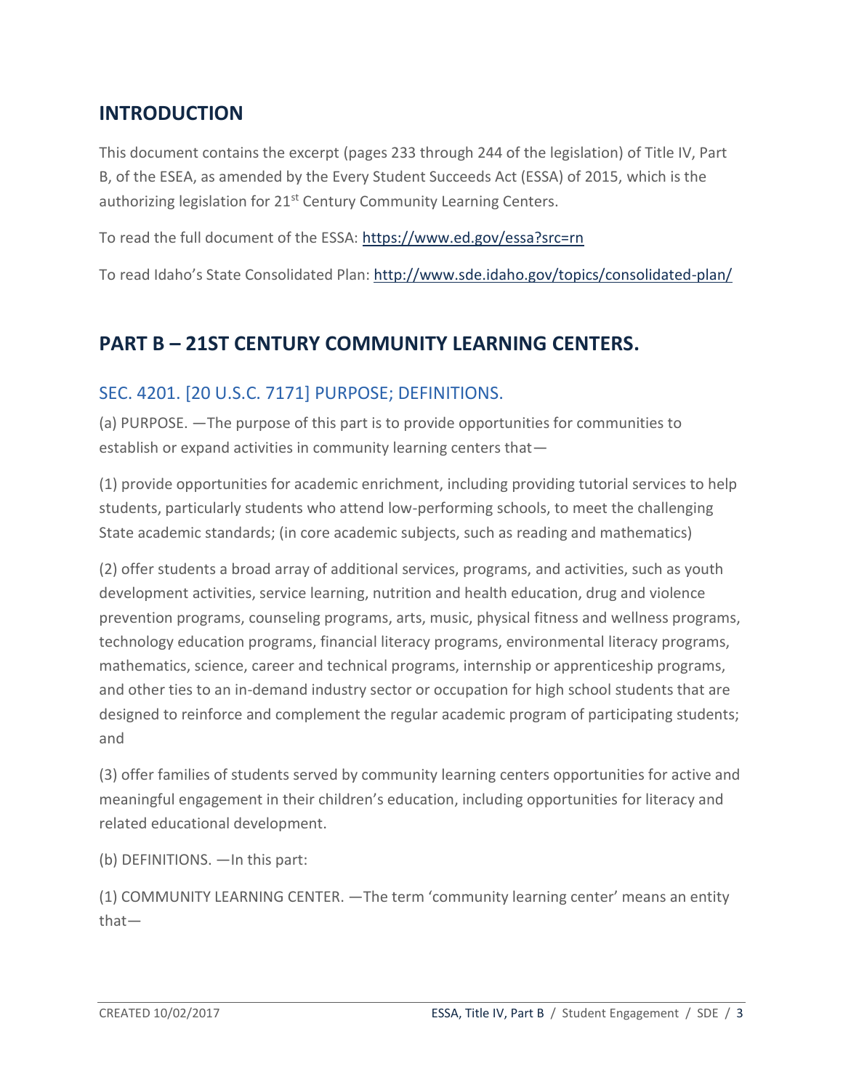# <span id="page-2-0"></span>**INTRODUCTION**

This document contains the excerpt (pages 233 through 244 of the legislation) of Title IV, Part B, of the ESEA, as amended by the Every Student Succeeds Act (ESSA) of 2015, which is the authorizing legislation for 21<sup>st</sup> Century Community Learning Centers.

To read the full document of the ESSA:<https://www.ed.gov/essa?src=rn>

To read Idaho's State Consolidated Plan:<http://www.sde.idaho.gov/topics/consolidated-plan/>

# <span id="page-2-1"></span>**PART B – 21ST CENTURY COMMUNITY LEARNING CENTERS.**

### <span id="page-2-2"></span>SEC. 4201. [20 U.S.C. 7171] PURPOSE; DEFINITIONS.

(a) PURPOSE. —The purpose of this part is to provide opportunities for communities to establish or expand activities in community learning centers that—

(1) provide opportunities for academic enrichment, including providing tutorial services to help students, particularly students who attend low-performing schools, to meet the challenging State academic standards; (in core academic subjects, such as reading and mathematics)

(2) offer students a broad array of additional services, programs, and activities, such as youth development activities, service learning, nutrition and health education, drug and violence prevention programs, counseling programs, arts, music, physical fitness and wellness programs, technology education programs, financial literacy programs, environmental literacy programs, mathematics, science, career and technical programs, internship or apprenticeship programs, and other ties to an in-demand industry sector or occupation for high school students that are designed to reinforce and complement the regular academic program of participating students; and

(3) offer families of students served by community learning centers opportunities for active and meaningful engagement in their children's education, including opportunities for literacy and related educational development.

(b) DEFINITIONS. —In this part:

(1) COMMUNITY LEARNING CENTER. —The term 'community learning center' means an entity that—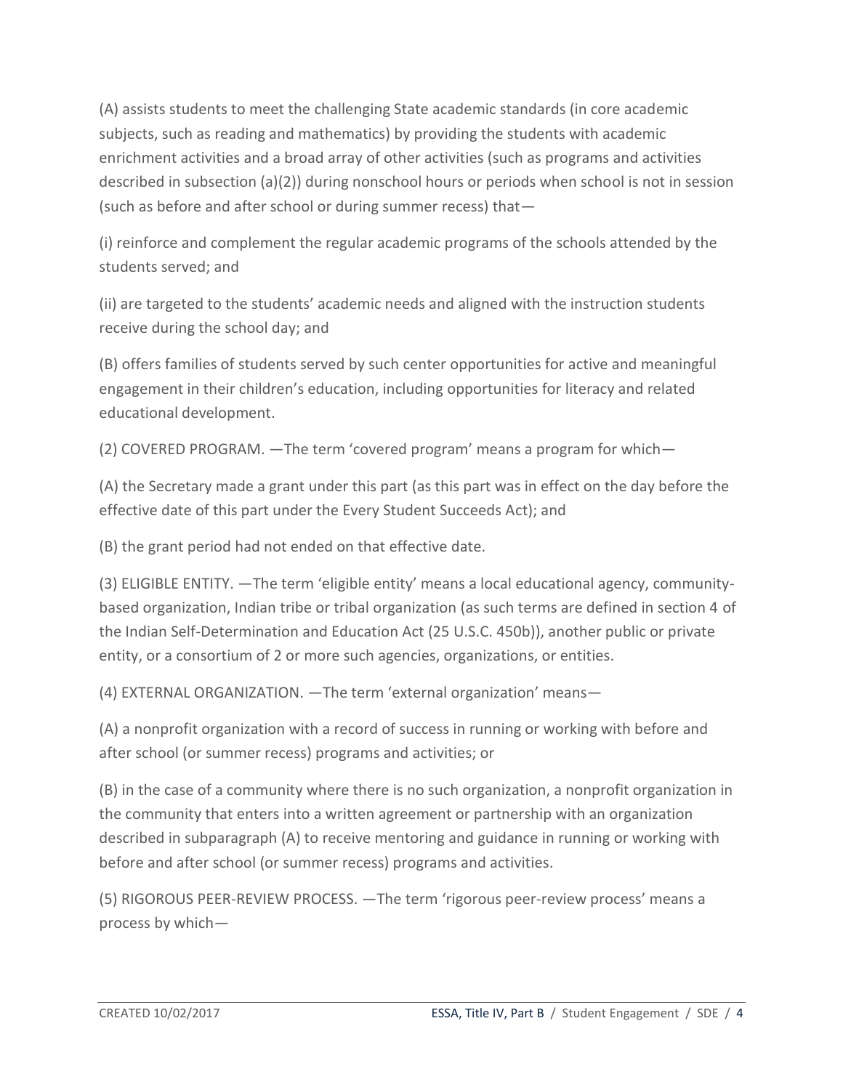(A) assists students to meet the challenging State academic standards (in core academic subjects, such as reading and mathematics) by providing the students with academic enrichment activities and a broad array of other activities (such as programs and activities described in subsection (a)(2)) during nonschool hours or periods when school is not in session (such as before and after school or during summer recess) that—

(i) reinforce and complement the regular academic programs of the schools attended by the students served; and

(ii) are targeted to the students' academic needs and aligned with the instruction students receive during the school day; and

(B) offers families of students served by such center opportunities for active and meaningful engagement in their children's education, including opportunities for literacy and related educational development.

(2) COVERED PROGRAM. —The term 'covered program' means a program for which—

(A) the Secretary made a grant under this part (as this part was in effect on the day before the effective date of this part under the Every Student Succeeds Act); and

(B) the grant period had not ended on that effective date.

(3) ELIGIBLE ENTITY. —The term 'eligible entity' means a local educational agency, communitybased organization, Indian tribe or tribal organization (as such terms are defined in section 4 of the Indian Self-Determination and Education Act (25 U.S.C. 450b)), another public or private entity, or a consortium of 2 or more such agencies, organizations, or entities.

(4) EXTERNAL ORGANIZATION. —The term 'external organization' means—

(A) a nonprofit organization with a record of success in running or working with before and after school (or summer recess) programs and activities; or

(B) in the case of a community where there is no such organization, a nonprofit organization in the community that enters into a written agreement or partnership with an organization described in subparagraph (A) to receive mentoring and guidance in running or working with before and after school (or summer recess) programs and activities.

(5) RIGOROUS PEER-REVIEW PROCESS. —The term 'rigorous peer-review process' means a process by which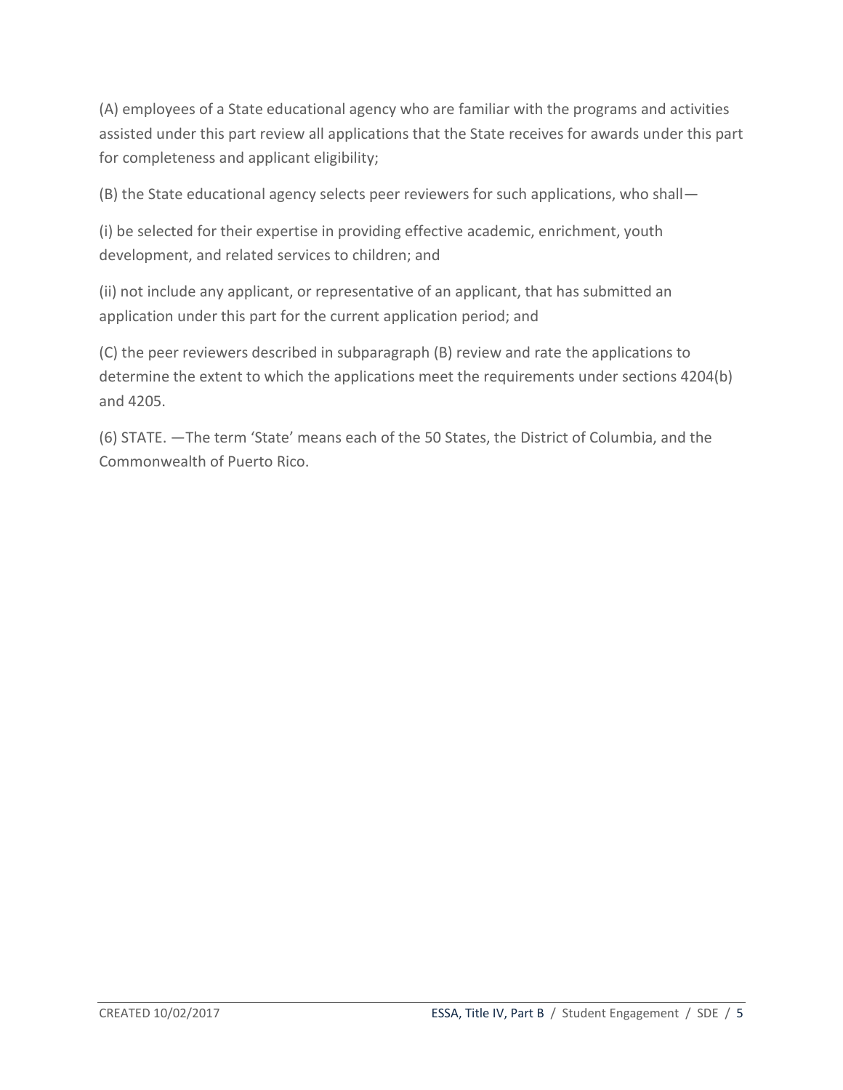(A) employees of a State educational agency who are familiar with the programs and activities assisted under this part review all applications that the State receives for awards under this part for completeness and applicant eligibility;

(B) the State educational agency selects peer reviewers for such applications, who shall—

(i) be selected for their expertise in providing effective academic, enrichment, youth development, and related services to children; and

(ii) not include any applicant, or representative of an applicant, that has submitted an application under this part for the current application period; and

(C) the peer reviewers described in subparagraph (B) review and rate the applications to determine the extent to which the applications meet the requirements under sections 4204(b) and 4205.

(6) STATE. —The term 'State' means each of the 50 States, the District of Columbia, and the Commonwealth of Puerto Rico.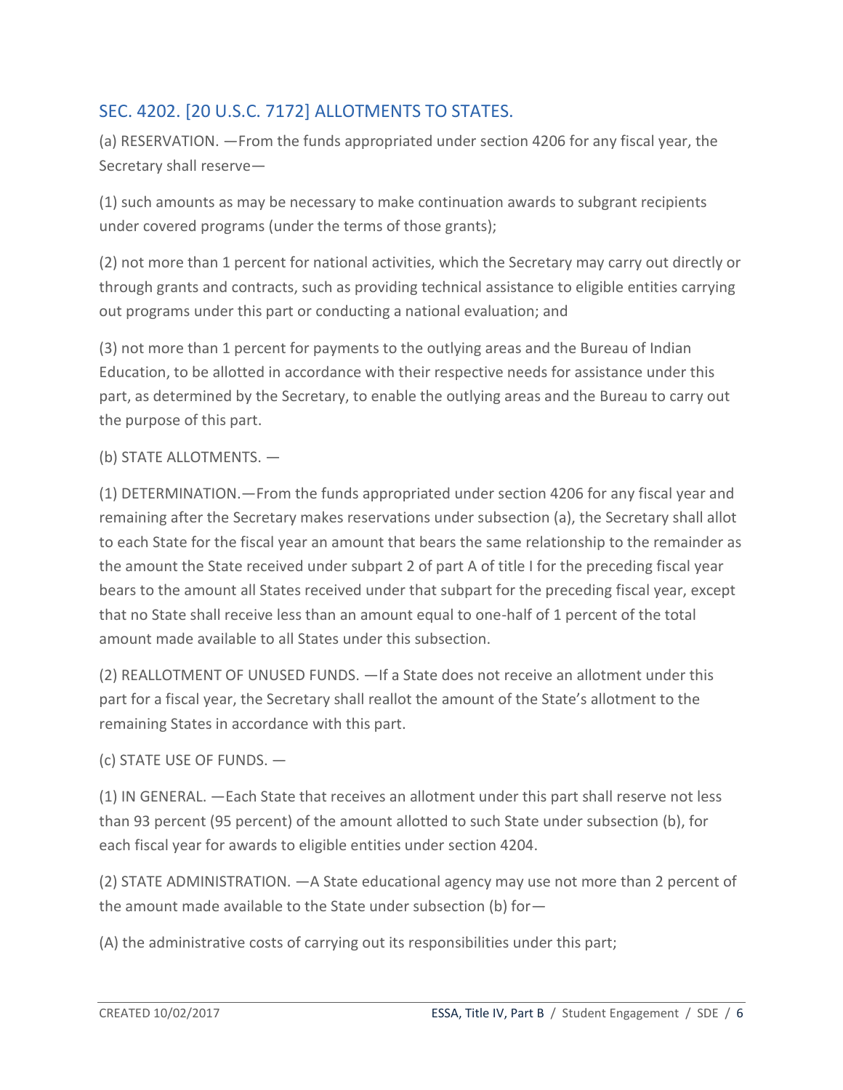## <span id="page-5-0"></span>SEC. 4202. [20 U.S.C. 7172] ALLOTMENTS TO STATES.

(a) RESERVATION. —From the funds appropriated under section 4206 for any fiscal year, the Secretary shall reserve—

(1) such amounts as may be necessary to make continuation awards to subgrant recipients under covered programs (under the terms of those grants);

(2) not more than 1 percent for national activities, which the Secretary may carry out directly or through grants and contracts, such as providing technical assistance to eligible entities carrying out programs under this part or conducting a national evaluation; and

(3) not more than 1 percent for payments to the outlying areas and the Bureau of Indian Education, to be allotted in accordance with their respective needs for assistance under this part, as determined by the Secretary, to enable the outlying areas and the Bureau to carry out the purpose of this part.

#### (b) STATE ALLOTMENTS. —

(1) DETERMINATION.—From the funds appropriated under section 4206 for any fiscal year and remaining after the Secretary makes reservations under subsection (a), the Secretary shall allot to each State for the fiscal year an amount that bears the same relationship to the remainder as the amount the State received under subpart 2 of part A of title I for the preceding fiscal year bears to the amount all States received under that subpart for the preceding fiscal year, except that no State shall receive less than an amount equal to one-half of 1 percent of the total amount made available to all States under this subsection.

(2) REALLOTMENT OF UNUSED FUNDS. —If a State does not receive an allotment under this part for a fiscal year, the Secretary shall reallot the amount of the State's allotment to the remaining States in accordance with this part.

(c) STATE USE OF FUNDS. —

(1) IN GENERAL. —Each State that receives an allotment under this part shall reserve not less than 93 percent (95 percent) of the amount allotted to such State under subsection (b), for each fiscal year for awards to eligible entities under section 4204.

(2) STATE ADMINISTRATION. —A State educational agency may use not more than 2 percent of the amount made available to the State under subsection (b) for—

(A) the administrative costs of carrying out its responsibilities under this part;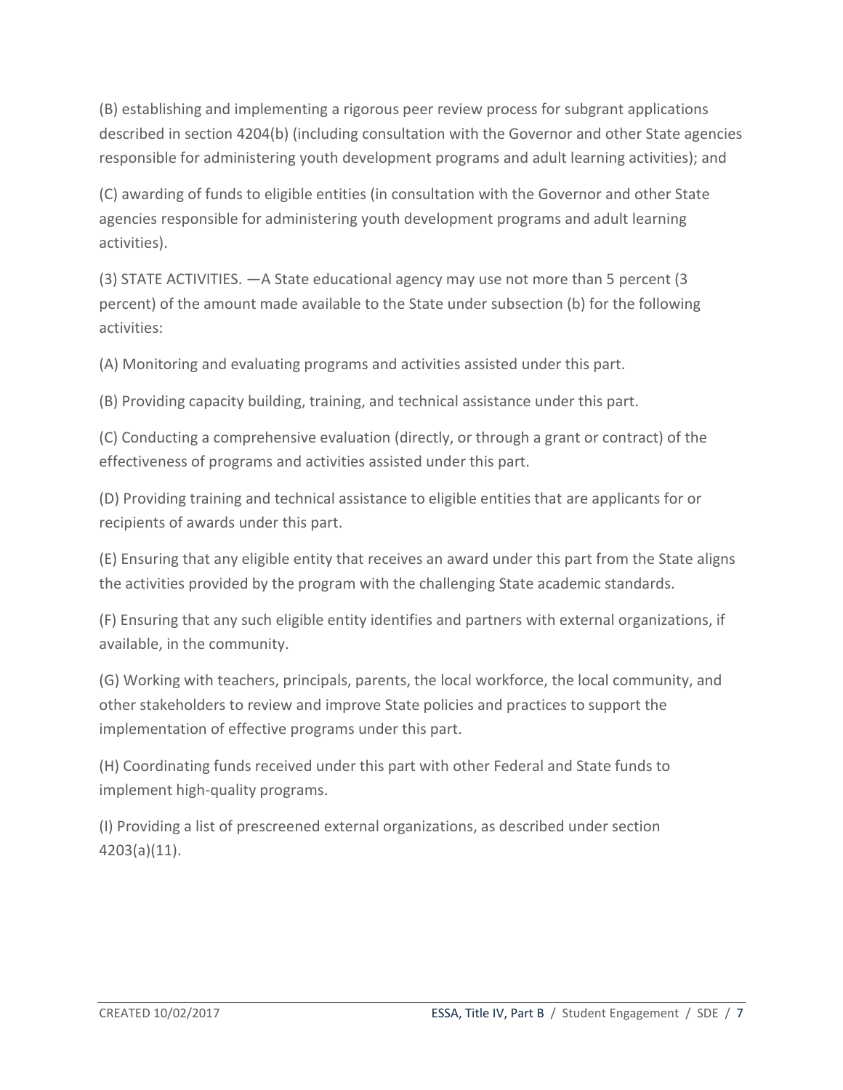(B) establishing and implementing a rigorous peer review process for subgrant applications described in section 4204(b) (including consultation with the Governor and other State agencies responsible for administering youth development programs and adult learning activities); and

(C) awarding of funds to eligible entities (in consultation with the Governor and other State agencies responsible for administering youth development programs and adult learning activities).

(3) STATE ACTIVITIES. —A State educational agency may use not more than 5 percent (3 percent) of the amount made available to the State under subsection (b) for the following activities:

(A) Monitoring and evaluating programs and activities assisted under this part.

(B) Providing capacity building, training, and technical assistance under this part.

(C) Conducting a comprehensive evaluation (directly, or through a grant or contract) of the effectiveness of programs and activities assisted under this part.

(D) Providing training and technical assistance to eligible entities that are applicants for or recipients of awards under this part.

(E) Ensuring that any eligible entity that receives an award under this part from the State aligns the activities provided by the program with the challenging State academic standards.

(F) Ensuring that any such eligible entity identifies and partners with external organizations, if available, in the community.

(G) Working with teachers, principals, parents, the local workforce, the local community, and other stakeholders to review and improve State policies and practices to support the implementation of effective programs under this part.

(H) Coordinating funds received under this part with other Federal and State funds to implement high-quality programs.

(I) Providing a list of prescreened external organizations, as described under section 4203(a)(11).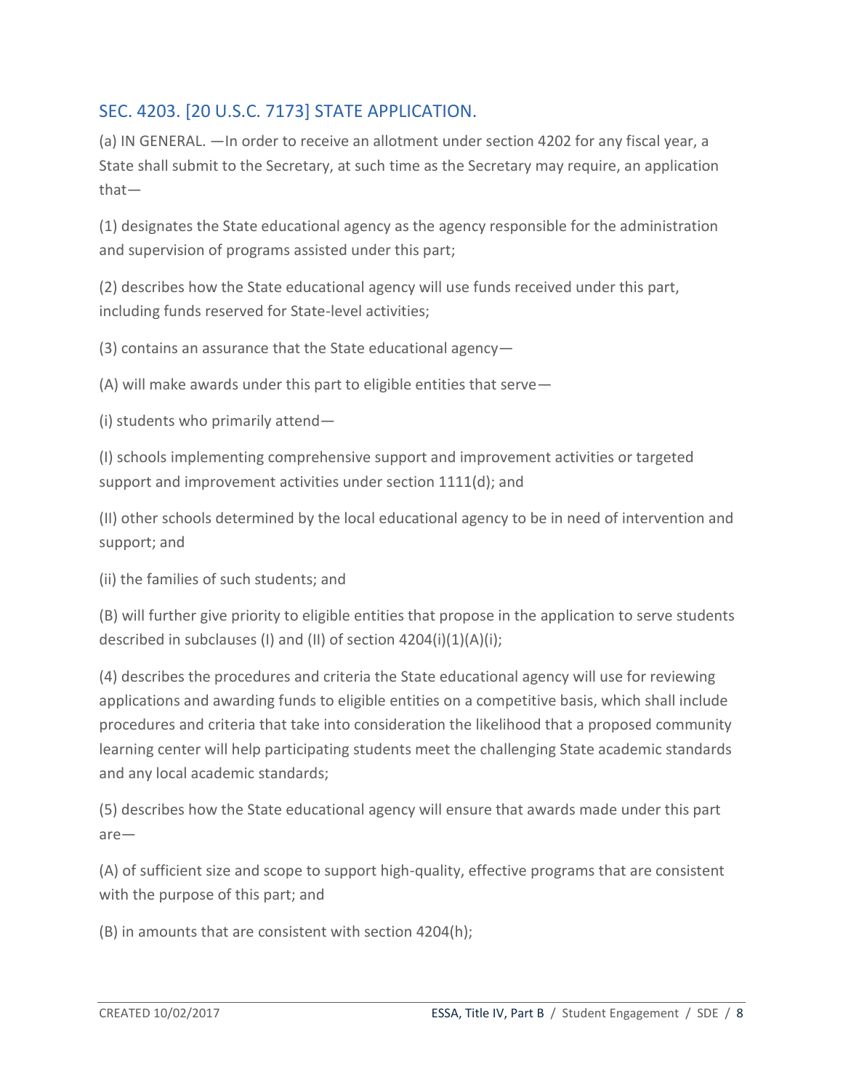## <span id="page-7-0"></span>SEC. 4203. [20 U.S.C. 7173] STATE APPLICATION.

(a) IN GENERAL. —In order to receive an allotment under section 4202 for any fiscal year, a State shall submit to the Secretary, at such time as the Secretary may require, an application that—

(1) designates the State educational agency as the agency responsible for the administration and supervision of programs assisted under this part;

(2) describes how the State educational agency will use funds received under this part, including funds reserved for State-level activities;

(3) contains an assurance that the State educational agency—

(A) will make awards under this part to eligible entities that serve—

(i) students who primarily attend—

(I) schools implementing comprehensive support and improvement activities or targeted support and improvement activities under section 1111(d); and

(II) other schools determined by the local educational agency to be in need of intervention and support; and

(ii) the families of such students; and

(B) will further give priority to eligible entities that propose in the application to serve students described in subclauses (I) and (II) of section  $4204(i)(1)(A)(i)$ ;

(4) describes the procedures and criteria the State educational agency will use for reviewing applications and awarding funds to eligible entities on a competitive basis, which shall include procedures and criteria that take into consideration the likelihood that a proposed community learning center will help participating students meet the challenging State academic standards and any local academic standards;

(5) describes how the State educational agency will ensure that awards made under this part are—

(A) of sufficient size and scope to support high-quality, effective programs that are consistent with the purpose of this part; and

(B) in amounts that are consistent with section 4204(h);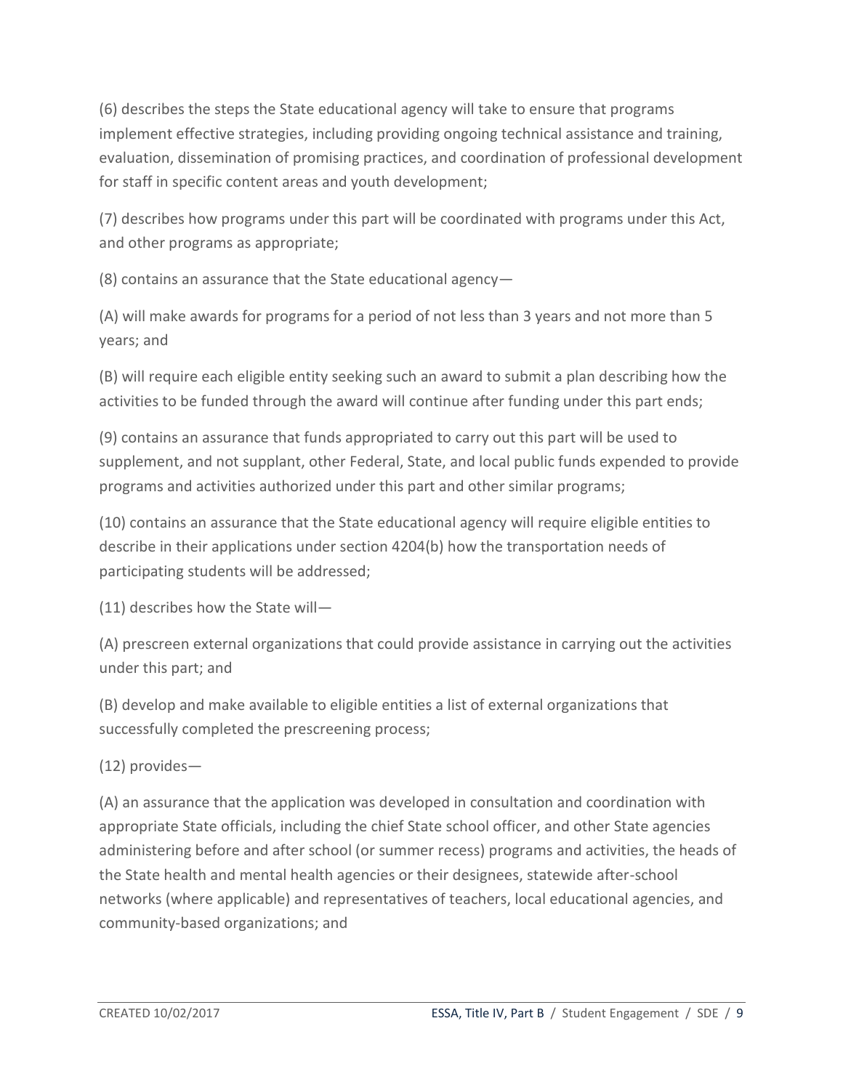(6) describes the steps the State educational agency will take to ensure that programs implement effective strategies, including providing ongoing technical assistance and training, evaluation, dissemination of promising practices, and coordination of professional development for staff in specific content areas and youth development;

(7) describes how programs under this part will be coordinated with programs under this Act, and other programs as appropriate;

(8) contains an assurance that the State educational agency—

(A) will make awards for programs for a period of not less than 3 years and not more than 5 years; and

(B) will require each eligible entity seeking such an award to submit a plan describing how the activities to be funded through the award will continue after funding under this part ends;

(9) contains an assurance that funds appropriated to carry out this part will be used to supplement, and not supplant, other Federal, State, and local public funds expended to provide programs and activities authorized under this part and other similar programs;

(10) contains an assurance that the State educational agency will require eligible entities to describe in their applications under section 4204(b) how the transportation needs of participating students will be addressed;

(11) describes how the State will—

(A) prescreen external organizations that could provide assistance in carrying out the activities under this part; and

(B) develop and make available to eligible entities a list of external organizations that successfully completed the prescreening process;

(12) provides—

(A) an assurance that the application was developed in consultation and coordination with appropriate State officials, including the chief State school officer, and other State agencies administering before and after school (or summer recess) programs and activities, the heads of the State health and mental health agencies or their designees, statewide after-school networks (where applicable) and representatives of teachers, local educational agencies, and community-based organizations; and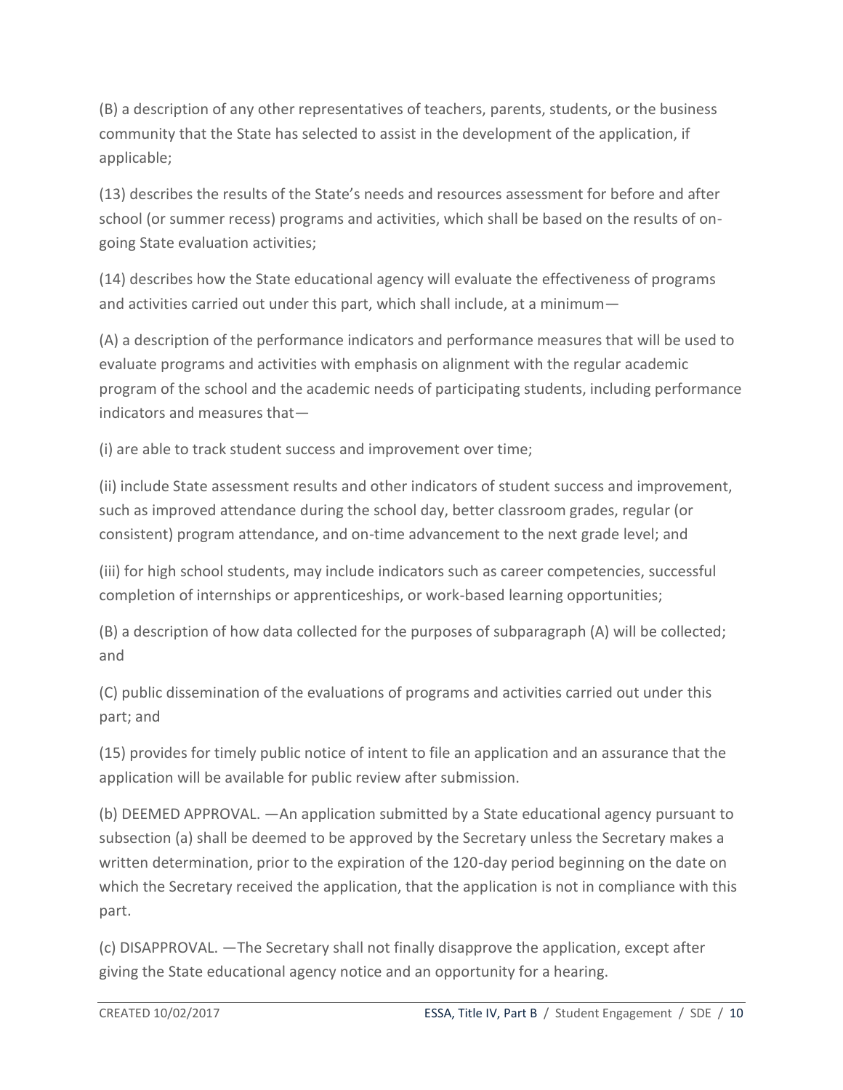(B) a description of any other representatives of teachers, parents, students, or the business community that the State has selected to assist in the development of the application, if applicable;

(13) describes the results of the State's needs and resources assessment for before and after school (or summer recess) programs and activities, which shall be based on the results of ongoing State evaluation activities;

(14) describes how the State educational agency will evaluate the effectiveness of programs and activities carried out under this part, which shall include, at a minimum—

(A) a description of the performance indicators and performance measures that will be used to evaluate programs and activities with emphasis on alignment with the regular academic program of the school and the academic needs of participating students, including performance indicators and measures that—

(i) are able to track student success and improvement over time;

(ii) include State assessment results and other indicators of student success and improvement, such as improved attendance during the school day, better classroom grades, regular (or consistent) program attendance, and on-time advancement to the next grade level; and

(iii) for high school students, may include indicators such as career competencies, successful completion of internships or apprenticeships, or work-based learning opportunities;

(B) a description of how data collected for the purposes of subparagraph (A) will be collected; and

(C) public dissemination of the evaluations of programs and activities carried out under this part; and

(15) provides for timely public notice of intent to file an application and an assurance that the application will be available for public review after submission.

(b) DEEMED APPROVAL. —An application submitted by a State educational agency pursuant to subsection (a) shall be deemed to be approved by the Secretary unless the Secretary makes a written determination, prior to the expiration of the 120-day period beginning on the date on which the Secretary received the application, that the application is not in compliance with this part.

(c) DISAPPROVAL. —The Secretary shall not finally disapprove the application, except after giving the State educational agency notice and an opportunity for a hearing.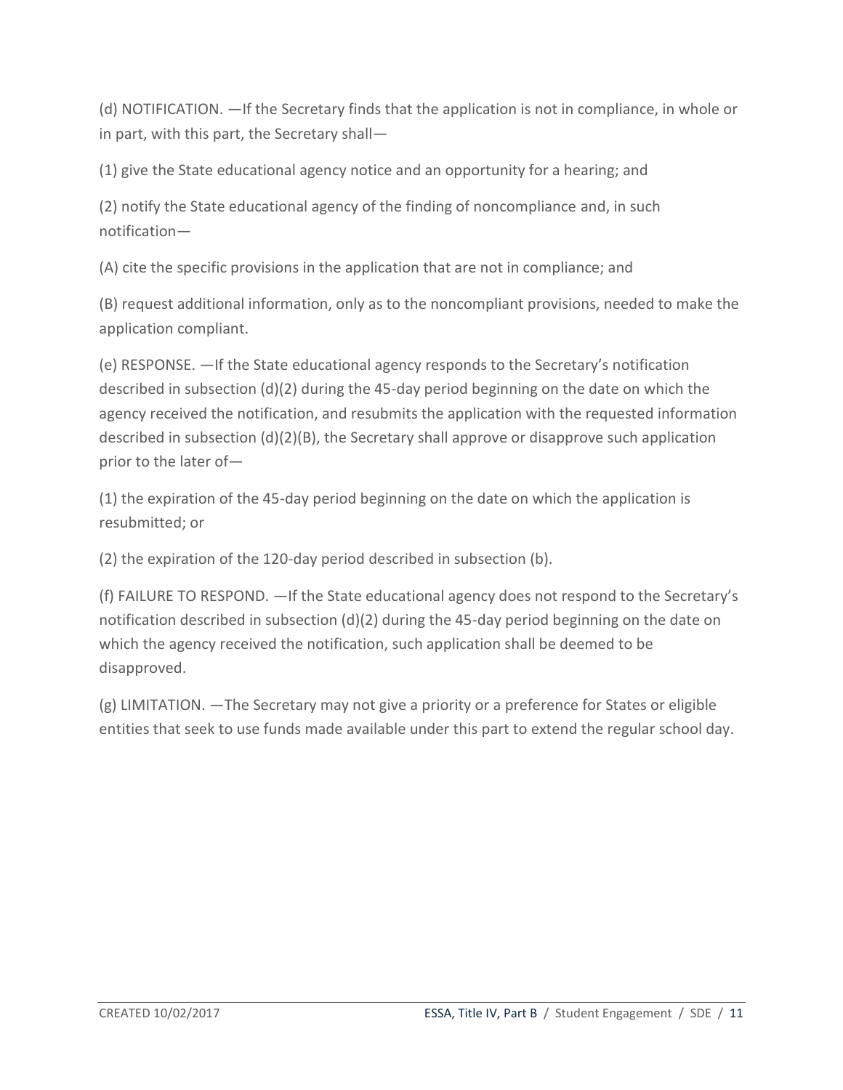(d) NOTIFICATION. —If the Secretary finds that the application is not in compliance, in whole or in part, with this part, the Secretary shall—

(1) give the State educational agency notice and an opportunity for a hearing; and

(2) notify the State educational agency of the finding of noncompliance and, in such notification—

(A) cite the specific provisions in the application that are not in compliance; and

(B) request additional information, only as to the noncompliant provisions, needed to make the application compliant.

(e) RESPONSE. —If the State educational agency responds to the Secretary's notification described in subsection (d)(2) during the 45-day period beginning on the date on which the agency received the notification, and resubmits the application with the requested information described in subsection  $(d)(2)(B)$ , the Secretary shall approve or disapprove such application prior to the later of—

(1) the expiration of the 45-day period beginning on the date on which the application is resubmitted; or

(2) the expiration of the 120-day period described in subsection (b).

(f) FAILURE TO RESPOND. —If the State educational agency does not respond to the Secretary's notification described in subsection (d)(2) during the 45-day period beginning on the date on which the agency received the notification, such application shall be deemed to be disapproved.

(g) LIMITATION. —The Secretary may not give a priority or a preference for States or eligible entities that seek to use funds made available under this part to extend the regular school day.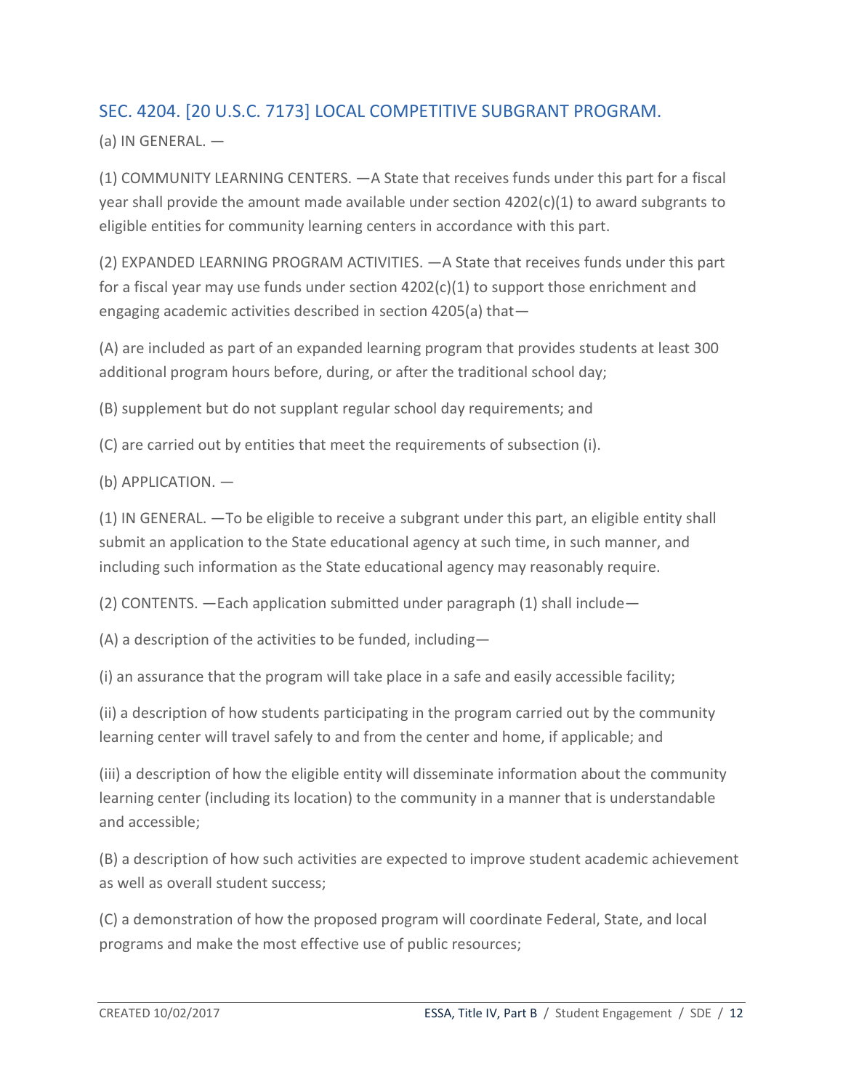## <span id="page-11-0"></span>SEC. 4204. [20 U.S.C. 7173] LOCAL COMPETITIVE SUBGRANT PROGRAM.

 $(a)$  IN GENERAL.  $-$ 

(1) COMMUNITY LEARNING CENTERS. —A State that receives funds under this part for a fiscal year shall provide the amount made available under section  $4202(c)(1)$  to award subgrants to eligible entities for community learning centers in accordance with this part.

(2) EXPANDED LEARNING PROGRAM ACTIVITIES. —A State that receives funds under this part for a fiscal year may use funds under section  $4202(c)(1)$  to support those enrichment and engaging academic activities described in section 4205(a) that—

(A) are included as part of an expanded learning program that provides students at least 300 additional program hours before, during, or after the traditional school day;

(B) supplement but do not supplant regular school day requirements; and

(C) are carried out by entities that meet the requirements of subsection (i).

(b) APPLICATION. —

(1) IN GENERAL. —To be eligible to receive a subgrant under this part, an eligible entity shall submit an application to the State educational agency at such time, in such manner, and including such information as the State educational agency may reasonably require.

(2) CONTENTS. —Each application submitted under paragraph (1) shall include—

(A) a description of the activities to be funded, including—

(i) an assurance that the program will take place in a safe and easily accessible facility;

(ii) a description of how students participating in the program carried out by the community learning center will travel safely to and from the center and home, if applicable; and

(iii) a description of how the eligible entity will disseminate information about the community learning center (including its location) to the community in a manner that is understandable and accessible;

(B) a description of how such activities are expected to improve student academic achievement as well as overall student success;

(C) a demonstration of how the proposed program will coordinate Federal, State, and local programs and make the most effective use of public resources;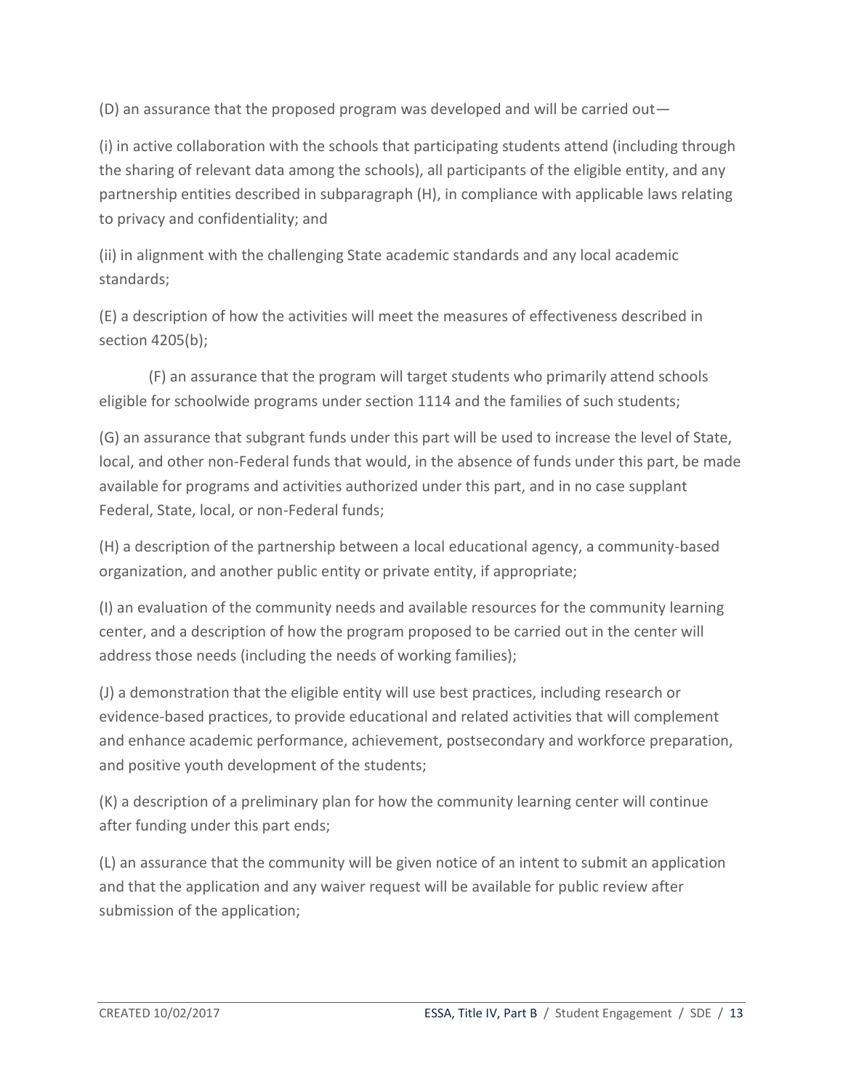(D) an assurance that the proposed program was developed and will be carried out—

(i) in active collaboration with the schools that participating students attend (including through the sharing of relevant data among the schools), all participants of the eligible entity, and any partnership entities described in subparagraph (H), in compliance with applicable laws relating to privacy and confidentiality; and

(ii) in alignment with the challenging State academic standards and any local academic standards;

(E) a description of how the activities will meet the measures of effectiveness described in section 4205(b);

(F) an assurance that the program will target students who primarily attend schools eligible for schoolwide programs under section 1114 and the families of such students;

(G) an assurance that subgrant funds under this part will be used to increase the level of State, local, and other non-Federal funds that would, in the absence of funds under this part, be made available for programs and activities authorized under this part, and in no case supplant Federal, State, local, or non-Federal funds;

(H) a description of the partnership between a local educational agency, a community-based organization, and another public entity or private entity, if appropriate;

(I) an evaluation of the community needs and available resources for the community learning center, and a description of how the program proposed to be carried out in the center will address those needs (including the needs of working families);

(J) a demonstration that the eligible entity will use best practices, including research or evidence-based practices, to provide educational and related activities that will complement and enhance academic performance, achievement, postsecondary and workforce preparation, and positive youth development of the students;

(K) a description of a preliminary plan for how the community learning center will continue after funding under this part ends;

(L) an assurance that the community will be given notice of an intent to submit an application and that the application and any waiver request will be available for public review after submission of the application;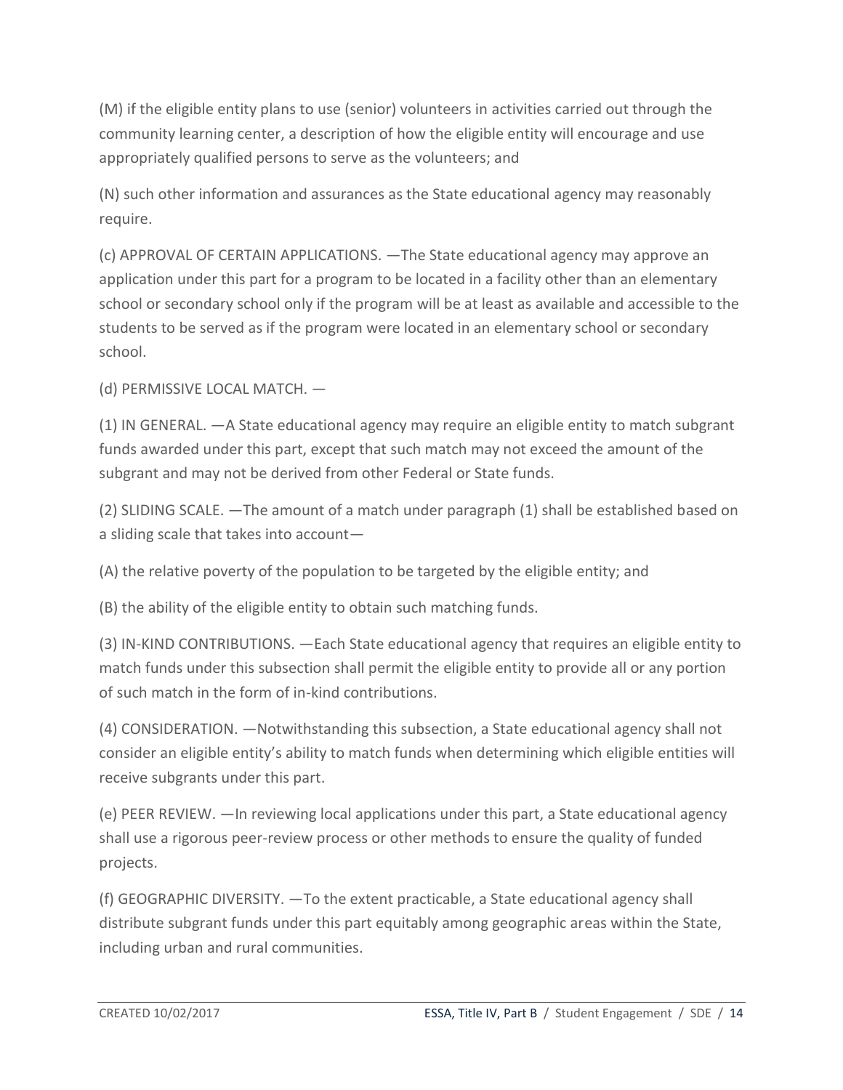(M) if the eligible entity plans to use (senior) volunteers in activities carried out through the community learning center, a description of how the eligible entity will encourage and use appropriately qualified persons to serve as the volunteers; and

(N) such other information and assurances as the State educational agency may reasonably require.

(c) APPROVAL OF CERTAIN APPLICATIONS. —The State educational agency may approve an application under this part for a program to be located in a facility other than an elementary school or secondary school only if the program will be at least as available and accessible to the students to be served as if the program were located in an elementary school or secondary school.

(d) PERMISSIVE LOCAL MATCH. —

(1) IN GENERAL. —A State educational agency may require an eligible entity to match subgrant funds awarded under this part, except that such match may not exceed the amount of the subgrant and may not be derived from other Federal or State funds.

(2) SLIDING SCALE. —The amount of a match under paragraph (1) shall be established based on a sliding scale that takes into account—

(A) the relative poverty of the population to be targeted by the eligible entity; and

(B) the ability of the eligible entity to obtain such matching funds.

(3) IN-KIND CONTRIBUTIONS. —Each State educational agency that requires an eligible entity to match funds under this subsection shall permit the eligible entity to provide all or any portion of such match in the form of in-kind contributions.

(4) CONSIDERATION. —Notwithstanding this subsection, a State educational agency shall not consider an eligible entity's ability to match funds when determining which eligible entities will receive subgrants under this part.

(e) PEER REVIEW. —In reviewing local applications under this part, a State educational agency shall use a rigorous peer-review process or other methods to ensure the quality of funded projects.

(f) GEOGRAPHIC DIVERSITY. —To the extent practicable, a State educational agency shall distribute subgrant funds under this part equitably among geographic areas within the State, including urban and rural communities.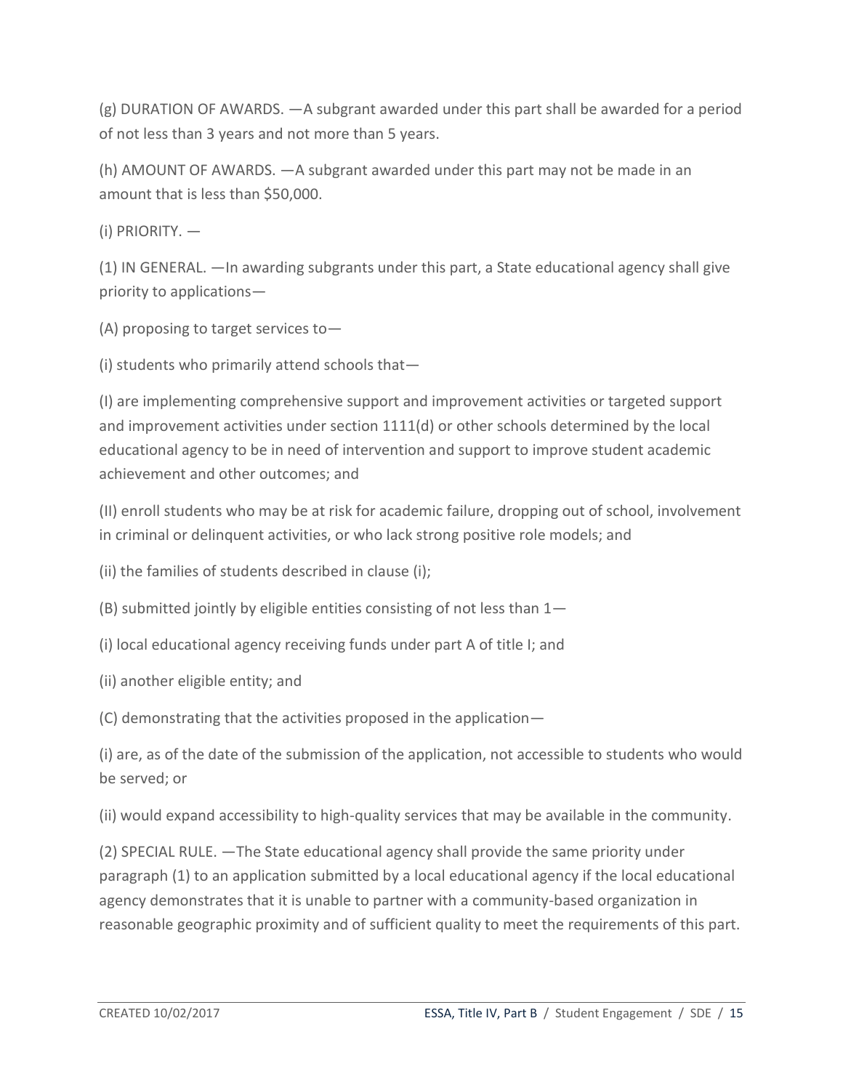(g) DURATION OF AWARDS. —A subgrant awarded under this part shall be awarded for a period of not less than 3 years and not more than 5 years.

(h) AMOUNT OF AWARDS. —A subgrant awarded under this part may not be made in an amount that is less than \$50,000.

(i) PRIORITY. —

(1) IN GENERAL. —In awarding subgrants under this part, a State educational agency shall give priority to applications—

(A) proposing to target services to—

(i) students who primarily attend schools that—

(I) are implementing comprehensive support and improvement activities or targeted support and improvement activities under section  $1111(d)$  or other schools determined by the local educational agency to be in need of intervention and support to improve student academic achievement and other outcomes; and

(II) enroll students who may be at risk for academic failure, dropping out of school, involvement in criminal or delinquent activities, or who lack strong positive role models; and

(ii) the families of students described in clause (i);

(B) submitted jointly by eligible entities consisting of not less than 1—

(i) local educational agency receiving funds under part A of title I; and

(ii) another eligible entity; and

(C) demonstrating that the activities proposed in the application—

(i) are, as of the date of the submission of the application, not accessible to students who would be served; or

(ii) would expand accessibility to high-quality services that may be available in the community.

(2) SPECIAL RULE. —The State educational agency shall provide the same priority under paragraph (1) to an application submitted by a local educational agency if the local educational agency demonstrates that it is unable to partner with a community-based organization in reasonable geographic proximity and of sufficient quality to meet the requirements of this part.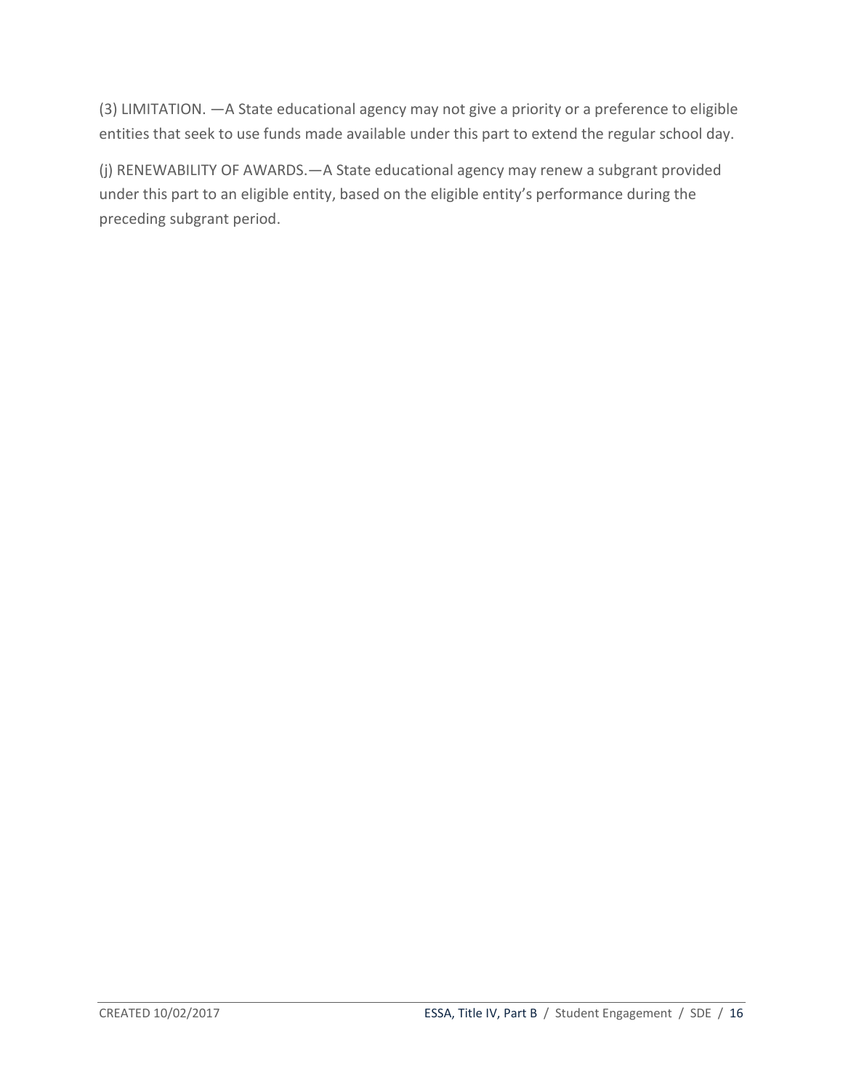(3) LIMITATION. —A State educational agency may not give a priority or a preference to eligible entities that seek to use funds made available under this part to extend the regular school day.

(j) RENEWABILITY OF AWARDS.—A State educational agency may renew a subgrant provided under this part to an eligible entity, based on the eligible entity's performance during the preceding subgrant period.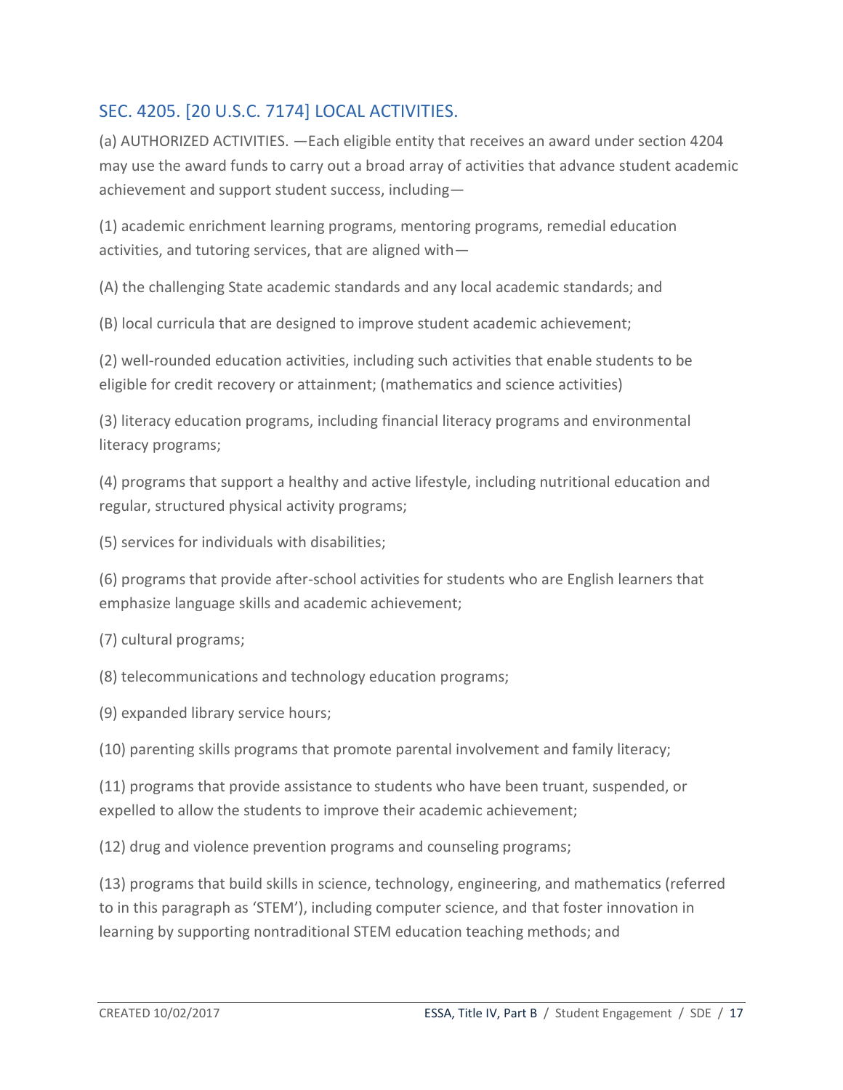## <span id="page-16-0"></span>SEC. 4205. [20 U.S.C. 7174] LOCAL ACTIVITIES.

(a) AUTHORIZED ACTIVITIES. —Each eligible entity that receives an award under section 4204 may use the award funds to carry out a broad array of activities that advance student academic achievement and support student success, including—

(1) academic enrichment learning programs, mentoring programs, remedial education activities, and tutoring services, that are aligned with—

(A) the challenging State academic standards and any local academic standards; and

(B) local curricula that are designed to improve student academic achievement;

(2) well-rounded education activities, including such activities that enable students to be eligible for credit recovery or attainment; (mathematics and science activities)

(3) literacy education programs, including financial literacy programs and environmental literacy programs;

(4) programs that support a healthy and active lifestyle, including nutritional education and regular, structured physical activity programs;

(5) services for individuals with disabilities;

(6) programs that provide after-school activities for students who are English learners that emphasize language skills and academic achievement;

(7) cultural programs;

(8) telecommunications and technology education programs;

(9) expanded library service hours;

(10) parenting skills programs that promote parental involvement and family literacy;

(11) programs that provide assistance to students who have been truant, suspended, or expelled to allow the students to improve their academic achievement;

(12) drug and violence prevention programs and counseling programs;

(13) programs that build skills in science, technology, engineering, and mathematics (referred to in this paragraph as 'STEM'), including computer science, and that foster innovation in learning by supporting nontraditional STEM education teaching methods; and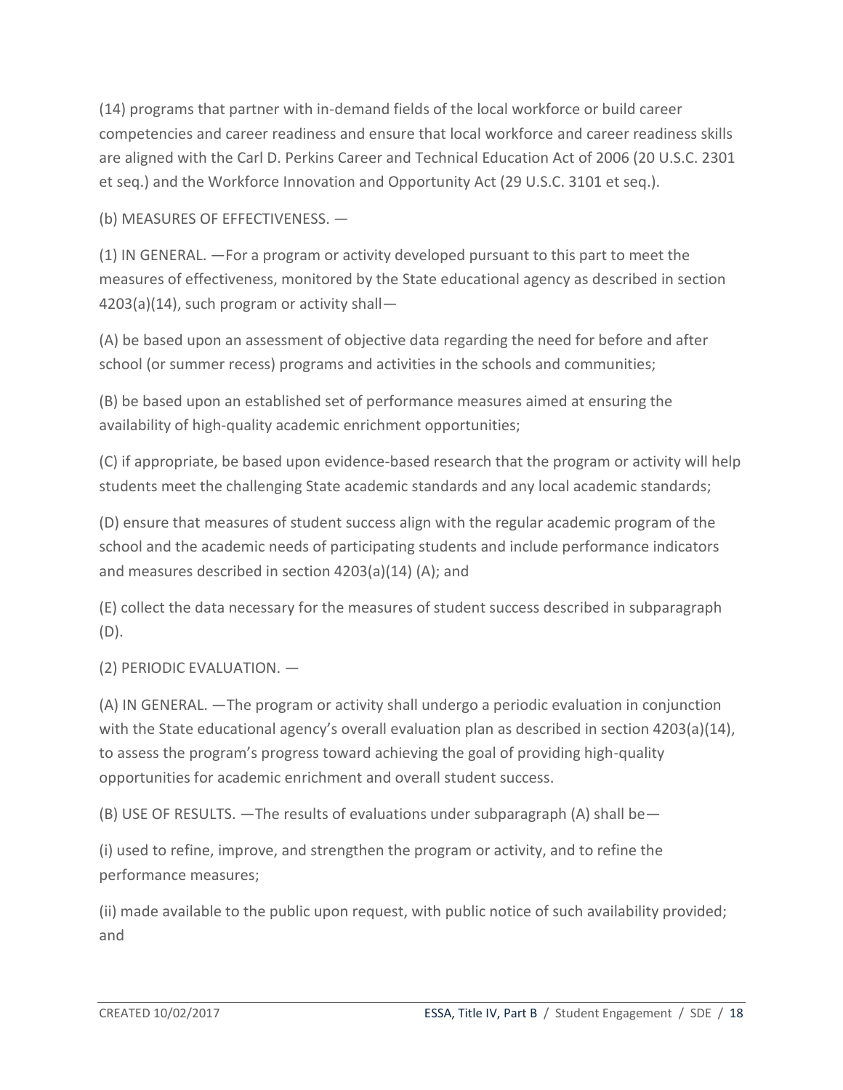(14) programs that partner with in-demand fields of the local workforce or build career competencies and career readiness and ensure that local workforce and career readiness skills are aligned with the Carl D. Perkins Career and Technical Education Act of 2006 (20 U.S.C. 2301 et seq.) and the Workforce Innovation and Opportunity Act (29 U.S.C. 3101 et seq.).

(b) MEASURES OF EFFECTIVENESS. —

(1) IN GENERAL. —For a program or activity developed pursuant to this part to meet the measures of effectiveness, monitored by the State educational agency as described in section 4203(a)(14), such program or activity shall—

(A) be based upon an assessment of objective data regarding the need for before and after school (or summer recess) programs and activities in the schools and communities;

(B) be based upon an established set of performance measures aimed at ensuring the availability of high-quality academic enrichment opportunities;

(C) if appropriate, be based upon evidence-based research that the program or activity will help students meet the challenging State academic standards and any local academic standards;

(D) ensure that measures of student success align with the regular academic program of the school and the academic needs of participating students and include performance indicators and measures described in section 4203(a)(14) (A); and

(E) collect the data necessary for the measures of student success described in subparagraph (D).

(2) PERIODIC EVALUATION. —

(A) IN GENERAL. —The program or activity shall undergo a periodic evaluation in conjunction with the State educational agency's overall evaluation plan as described in section 4203(a)(14), to assess the program's progress toward achieving the goal of providing high-quality opportunities for academic enrichment and overall student success.

(B) USE OF RESULTS. —The results of evaluations under subparagraph (A) shall be—

(i) used to refine, improve, and strengthen the program or activity, and to refine the performance measures;

(ii) made available to the public upon request, with public notice of such availability provided; and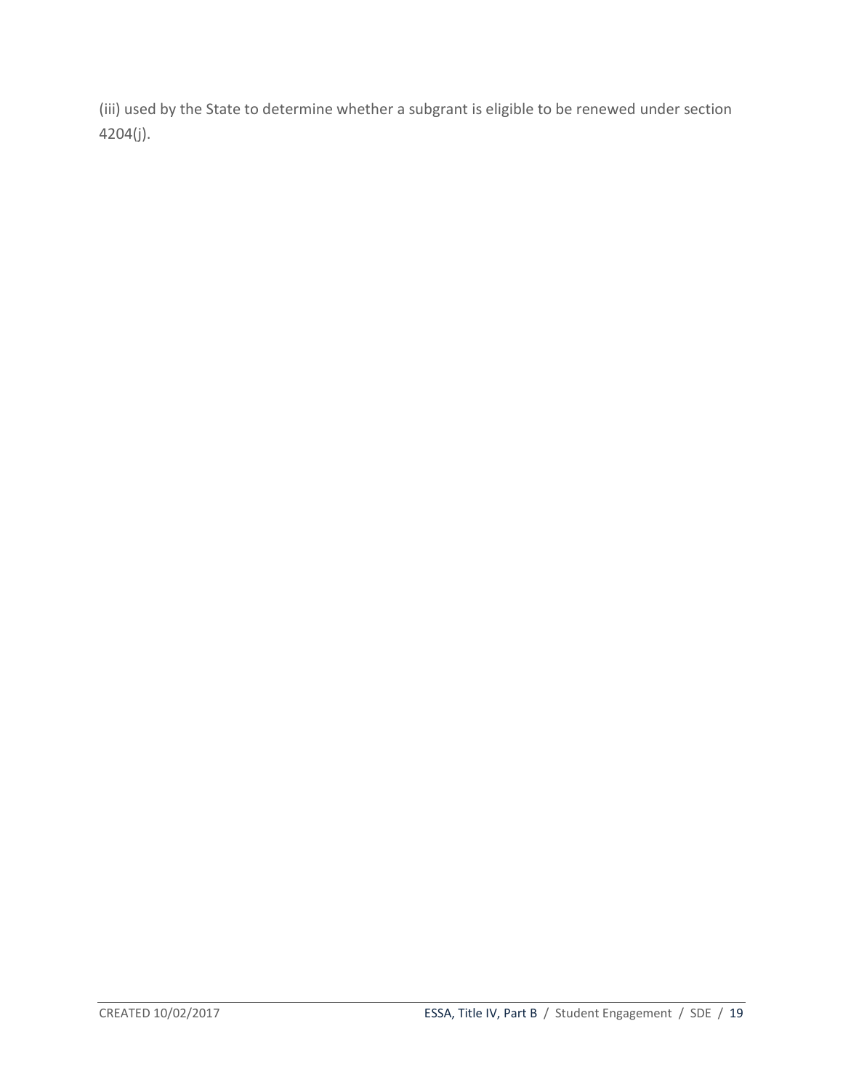(iii) used by the State to determine whether a subgrant is eligible to be renewed under section 4204(j).